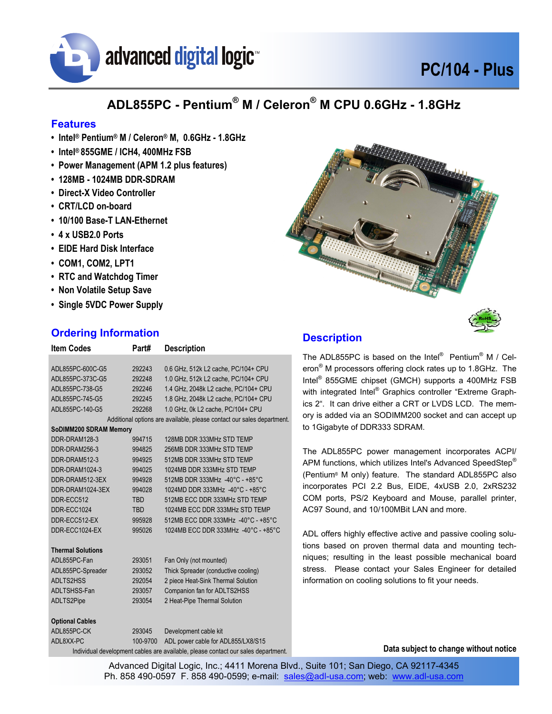

## **PC/104 - Plus**

### **ADL855PC - Pentium® M / Celeron® M CPU 0.6GHz - 1.8GHz**

#### **Features**

- **Intel® Pentium® M / Celeron® M, 0.6GHz 1.8GHz**
- **Intel® 855GME / ICH4, 400MHz FSB**
- **Power Management (APM 1.2 plus features)**
- **128MB 1024MB DDR-SDRAM**
- **Direct-X Video Controller**
- **CRT/LCD on-board**
- **10/100 Base-T LAN-Ethernet**
- **4 x USB2.0 Ports**
- **EIDE Hard Disk Interface**
- **COM1, COM2, LPT1**
- **RTC and Watchdog Timer**
- **Non Volatile Setup Save**
- **Single 5VDC Power Supply**

#### **Ordering Information**

| <b>Item Codes</b>                                                                 | Part#      | <b>Description</b>                                                     |  |  |
|-----------------------------------------------------------------------------------|------------|------------------------------------------------------------------------|--|--|
|                                                                                   |            |                                                                        |  |  |
| ADL855PC-600C-G5                                                                  | 292243     | 0.6 GHz, 512k L2 cache, PC/104+ CPU                                    |  |  |
| ADL855PC-373C-G5                                                                  | 292248     | 1.0 GHz, 512k L2 cache, PC/104+ CPU                                    |  |  |
| ADL855PC-738-G5                                                                   | 292246     | 1.4 GHz, 2048k L2 cache, PC/104+ CPU                                   |  |  |
| ADL855PC-745-G5                                                                   | 292245     | 1.8 GHz, 2048k L2 cache, PC/104+ CPU                                   |  |  |
| ADL855PC-140-G5                                                                   | 292268     | 1.0 GHz, 0k L2 cache, PC/104+ CPU                                      |  |  |
|                                                                                   |            | Additional options are available, please contact our sales department. |  |  |
| SoDIMM200 SDRAM Memory                                                            |            |                                                                        |  |  |
| DDR-DRAM128-3                                                                     | 994715     | 128MB DDR 333MHz STD TEMP                                              |  |  |
| DDR-DRAM256-3                                                                     | 994825     | 256MB DDR 333MHz STD TEMP                                              |  |  |
| DDR-DRAM512-3                                                                     | 994925     | 512MB DDR 333MHz STD TEMP                                              |  |  |
| DDR-DRAM1024-3                                                                    | 994025     | 1024MB DDR 333MHz STD TEMP                                             |  |  |
| DDR-DRAM512-3EX                                                                   | 994928     | 512MB DDR 333MHz -40°C - +85°C                                         |  |  |
| DDR-DRAM1024-3FX                                                                  | 994028     | 1024MD DDR 333MHz -40°C - +85°C                                        |  |  |
| DDR-ECC512                                                                        | <b>TBD</b> | 512MB ECC DDR 333MHz STD TEMP                                          |  |  |
| DDR-ECC1024                                                                       | <b>TBD</b> | 1024MB ECC DDR 333MHz STD TEMP                                         |  |  |
| DDR-ECC512-EX                                                                     | 995928     | 512MB ECC DDR 333MHz -40°C - +85°C                                     |  |  |
| DDR-ECC1024-EX                                                                    | 995026     | 1024MB ECC DDR 333MHz -40°C - +85°C                                    |  |  |
| <b>Thermal Solutions</b>                                                          |            |                                                                        |  |  |
| ADL855PC-Fan                                                                      | 293051     | Fan Only (not mounted)                                                 |  |  |
| ADL855PC-Spreader                                                                 | 293052     | Thick Spreader (conductive cooling)                                    |  |  |
| ADLTS2HSS                                                                         | 292054     | 2 piece Heat-Sink Thermal Solution                                     |  |  |
| ADLTSHSS-Fan                                                                      | 293057     | Companion fan for ADLTS2HSS                                            |  |  |
| ADLTS2Pipe                                                                        | 293054     | 2 Heat-Pipe Thermal Solution                                           |  |  |
| <b>Optional Cables</b>                                                            |            |                                                                        |  |  |
| ADL855PC-CK                                                                       | 293045     | Development cable kit                                                  |  |  |
| ADL8XX-PC                                                                         | 100-9700   | ADL power cable for ADL855/LX8/S15                                     |  |  |
| Individual development cables are available, please contact our sales department. |            |                                                                        |  |  |



#### **Description**

The ADL855PC is based on the Intel® Pentium® M / Celeron® M processors offering clock rates up to 1.8GHz. The Intel® 855GME chipset (GMCH) supports a 400MHz FSB with integrated Intel® Graphics controller "Extreme Graphics 2". It can drive either a CRT or LVDS LCD. The memory is added via an SODIMM200 socket and can accept up to 1Gigabyte of DDR333 SDRAM.

The ADL855PC power management incorporates ACPI/ APM functions, which utilizes Intel's Advanced SpeedStep® (Pentium® M only) feature. The standard ADL855PC also incorporates PCI 2.2 Bus, EIDE, 4xUSB 2.0, 2xRS232 COM ports, PS/2 Keyboard and Mouse, parallel printer, AC97 Sound, and 10/100MBit LAN and more.

ADL offers highly effective active and passive cooling solutions based on proven thermal data and mounting techniques; resulting in the least possible mechanical board stress. Please contact your Sales Engineer for detailed information on cooling solutions to fit your needs.

**Data subject to change without notice** 

Advanced Digital Logic, Inc.; 4411 Morena Blvd., Suite 101; San Diego, CA 92117-4345 Ph. 858 490-0597 F. 858 490-0599; e-mail: sales@adl-usa.com; web: www.adl-usa.com